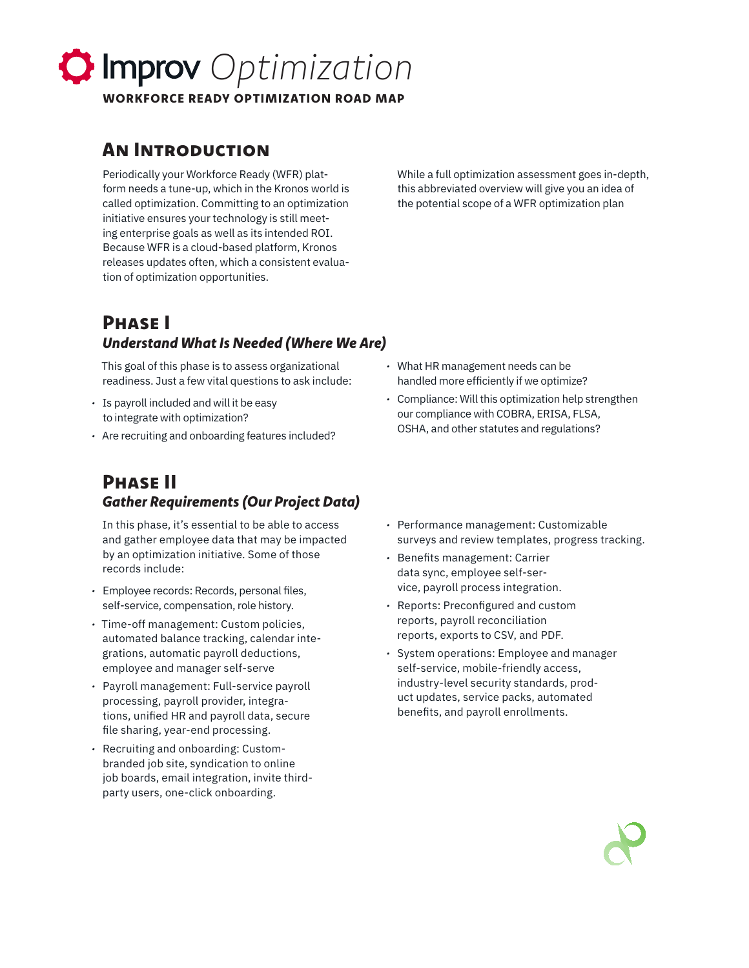# *Optimization*

WORKFORCE READY OPTIMIZATION ROAD MAP

# An Introduction

Periodically your Workforce Ready (WFR) platform needs a tune-up, which in the Kronos world is called optimization. Committing to an optimization initiative ensures your technology is still meeting enterprise goals as well as its intended ROI. Because WFR is a cloud-based platform, Kronos releases updates often, which a consistent evaluation of optimization opportunities.

While a full optimization assessment goes in-depth, this abbreviated overview will give you an idea of the potential scope of a WFR optimization plan

# Phase I *Understand What Is Needed (Where We Are)*

This goal of this phase is to assess organizational readiness. Just a few vital questions to ask include:

- *•* Is payroll included and will it be easy to integrate with optimization?
- *•* Are recruiting and onboarding features included?

# Phase II *Gather Requirements (Our Project Data)*

In this phase, it's essential to be able to access and gather employee data that may be impacted by an optimization initiative. Some of those records include:

- *•* Employee records: Records, personal files, self-service, compensation, role history.
- *•* Time-off management: Custom policies, automated balance tracking, calendar integrations, automatic payroll deductions, employee and manager self-serve
- *•* Payroll management: Full-service payroll processing, payroll provider, integrations, unified HR and payroll data, secure file sharing, year-end processing.
- *•* Recruiting and onboarding: Custombranded job site, syndication to online job boards, email integration, invite thirdparty users, one-click onboarding.
- *•* What HR management needs can be handled more efficiently if we optimize?
- *•* Compliance: Will this optimization help strengthen our compliance with COBRA, ERISA, FLSA, OSHA, and other statutes and regulations?
- *•* Performance management: Customizable surveys and review templates, progress tracking.
- *•* Benefits management: Carrier data sync, employee self-service, payroll process integration.
- *•* Reports: Preconfigured and custom reports, payroll reconciliation reports, exports to CSV, and PDF.
- *•* System operations: Employee and manager self-service, mobile-friendly access, industry-level security standards, product updates, service packs, automated benefits, and payroll enrollments.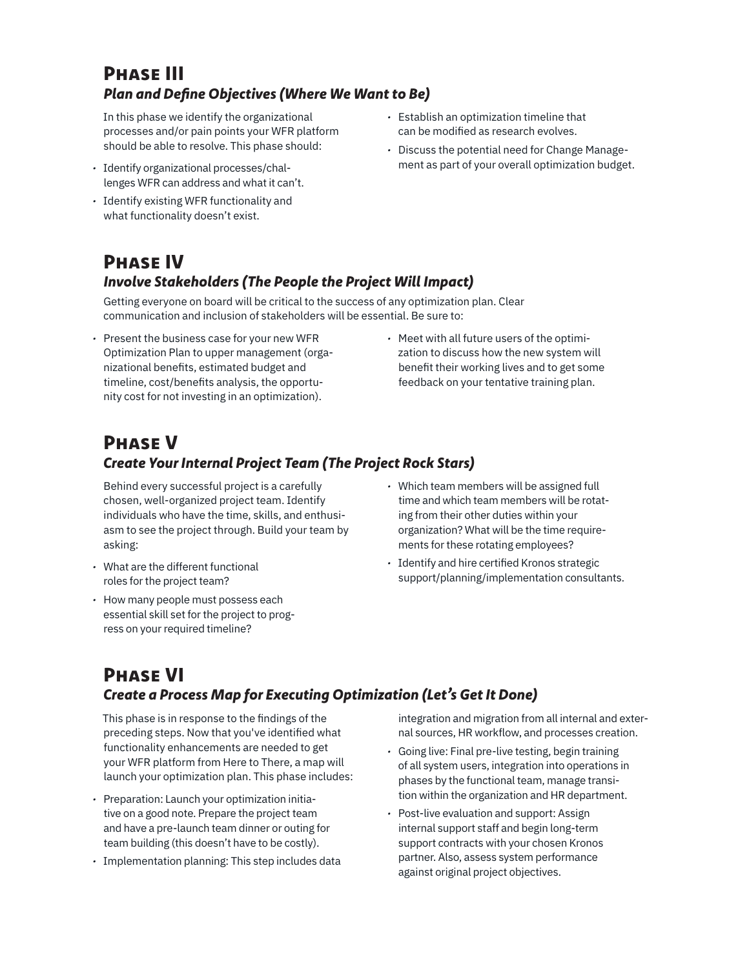# Phase III *Plan and Define Objectives (Where We Want to Be)*

In this phase we identify the organizational processes and/or pain points your WFR platform should be able to resolve. This phase should:

- *•* Identify organizational processes/challenges WFR can address and what it can't.
- *•* Identify existing WFR functionality and what functionality doesn't exist.
- *•* Establish an optimization timeline that can be modified as research evolves.
- *•* Discuss the potential need for Change Management as part of your overall optimization budget.

### Phase IV *Involve Stakeholders (The People the Project Will Impact)*

Getting everyone on board will be critical to the success of any optimization plan. Clear communication and inclusion of stakeholders will be essential. Be sure to:

- *•* Present the business case for your new WFR Optimization Plan to upper management (organizational benefits, estimated budget and timeline, cost/benefits analysis, the opportunity cost for not investing in an optimization).
- *•* Meet with all future users of the optimization to discuss how the new system will benefit their working lives and to get some feedback on your tentative training plan.

# Phase V

#### *Create Your Internal Project Team (The Project Rock Stars)*

Behind every successful project is a carefully chosen, well-organized project team. Identify individuals who have the time, skills, and enthusiasm to see the project through. Build your team by asking:

- *•* What are the different functional roles for the project team?
- *•* How many people must possess each essential skill set for the project to progress on your required timeline?
- *•* Which team members will be assigned full time and which team members will be rotating from their other duties within your organization? What will be the time requirements for these rotating employees?
- *•* Identify and hire certified Kronos strategic support/planning/implementation consultants.

# Phase VI *Create a Process Map for Executing Optimization (Let's Get It Done)*

This phase is in response to the findings of the preceding steps. Now that you've identified what functionality enhancements are needed to get your WFR platform from Here to There, a map will launch your optimization plan. This phase includes:

- *•* Preparation: Launch your optimization initiative on a good note. Prepare the project team and have a pre-launch team dinner or outing for team building (this doesn't have to be costly).
- *•* Implementation planning: This step includes data

integration and migration from all internal and external sources, HR workflow, and processes creation.

- *•* Going live: Final pre-live testing, begin training of all system users, integration into operations in phases by the functional team, manage transition within the organization and HR department.
- *•* Post-live evaluation and support: Assign internal support staff and begin long-term support contracts with your chosen Kronos partner. Also, assess system performance against original project objectives.